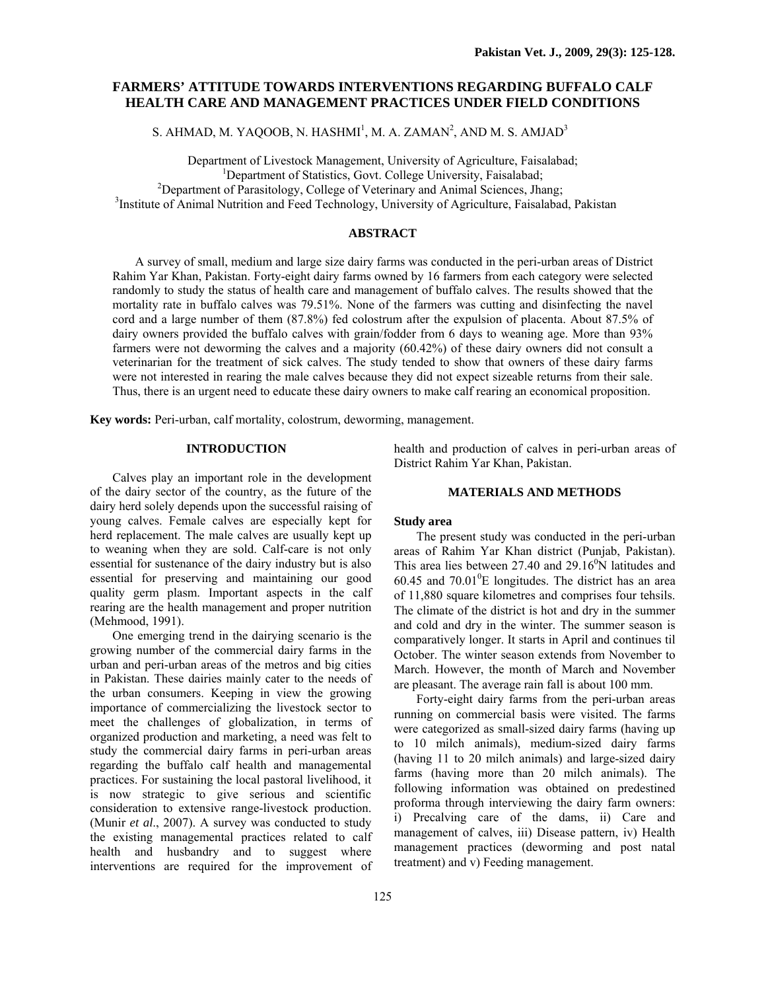# **FARMERS' ATTITUDE TOWARDS INTERVENTIONS REGARDING BUFFALO CALF HEALTH CARE AND MANAGEMENT PRACTICES UNDER FIELD CONDITIONS**

S. AHMAD, M. YAQOOB, N. HASHMI<sup>1</sup>, M. A. ZAMAN<sup>2</sup>, AND M. S. AMJAD<sup>3</sup>

Department of Livestock Management, University of Agriculture, Faisalabad; 1 <sup>1</sup>Department of Statistics, Govt. College University, Faisalabad;  $^{2}$ Department of Parasitology, College of Veterinary and Animal Sciences, Jhang; <sup>3</sup>Institute of Animal Nutrition and Feed Technology, University of Agriculture, Faisalabad, Pakistan

## **ABSTRACT**

A survey of small, medium and large size dairy farms was conducted in the peri-urban areas of District Rahim Yar Khan, Pakistan. Forty-eight dairy farms owned by 16 farmers from each category were selected randomly to study the status of health care and management of buffalo calves. The results showed that the mortality rate in buffalo calves was 79.51%. None of the farmers was cutting and disinfecting the navel cord and a large number of them (87.8%) fed colostrum after the expulsion of placenta. About 87.5% of dairy owners provided the buffalo calves with grain/fodder from 6 days to weaning age. More than 93% farmers were not deworming the calves and a majority (60.42%) of these dairy owners did not consult a veterinarian for the treatment of sick calves. The study tended to show that owners of these dairy farms were not interested in rearing the male calves because they did not expect sizeable returns from their sale. Thus, there is an urgent need to educate these dairy owners to make calf rearing an economical proposition.

**Key words:** Peri-urban, calf mortality, colostrum, deworming, management.

## **INTRODUCTION**

Calves play an important role in the development of the dairy sector of the country, as the future of the dairy herd solely depends upon the successful raising of young calves. Female calves are especially kept for herd replacement. The male calves are usually kept up to weaning when they are sold. Calf-care is not only essential for sustenance of the dairy industry but is also essential for preserving and maintaining our good quality germ plasm. Important aspects in the calf rearing are the health management and proper nutrition (Mehmood, 1991).

One emerging trend in the dairying scenario is the growing number of the commercial dairy farms in the urban and peri-urban areas of the metros and big cities in Pakistan. These dairies mainly cater to the needs of the urban consumers. Keeping in view the growing importance of commercializing the livestock sector to meet the challenges of globalization, in terms of organized production and marketing, a need was felt to study the commercial dairy farms in peri-urban areas regarding the buffalo calf health and managemental practices. For sustaining the local pastoral livelihood, it is now strategic to give serious and scientific consideration to extensive range-livestock production. (Munir *et al*., 2007). A survey was conducted to study the existing managemental practices related to calf health and husbandry and to suggest where interventions are required for the improvement of

125

health and production of calves in peri-urban areas of District Rahim Yar Khan, Pakistan.

### **MATERIALS AND METHODS**

## **Study area**

The present study was conducted in the peri-urban areas of Rahim Yar Khan district (Punjab, Pakistan). This area lies between  $27.40$  and  $29.16<sup>o</sup>N$  latitudes and  $60.45$  and  $70.01^0$ E longitudes. The district has an area of 11,880 square kilometres and comprises four tehsils. The climate of the district is hot and dry in the summer and cold and dry in the winter. The summer season is comparatively longer. It starts in April and continues til October. The winter season extends from November to March. However, the month of March and November are pleasant. The average rain fall is about 100 mm.

Forty-eight dairy farms from the peri-urban areas running on commercial basis were visited. The farms were categorized as small-sized dairy farms (having up to 10 milch animals), medium-sized dairy farms (having 11 to 20 milch animals) and large-sized dairy farms (having more than 20 milch animals). The following information was obtained on predestined proforma through interviewing the dairy farm owners: i) Precalving care of the dams, ii) Care and management of calves, iii) Disease pattern, iv) Health management practices (deworming and post natal treatment) and v) Feeding management.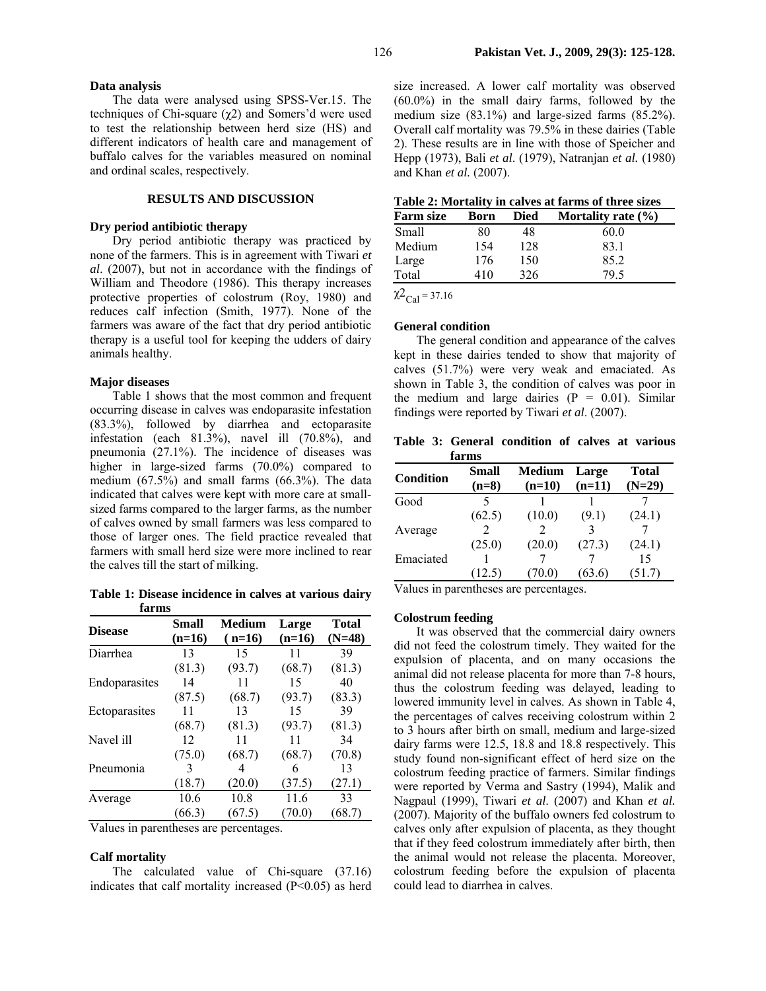#### **Data analysis**

The data were analysed using SPSS-Ver.15. The techniques of Chi-square ( $χ$ 2) and Somers'd were used to test the relationship between herd size (HS) and different indicators of health care and management of buffalo calves for the variables measured on nominal and ordinal scales, respectively.

## **RESULTS AND DISCUSSION**

### **Dry period antibiotic therapy**

Dry period antibiotic therapy was practiced by none of the farmers. This is in agreement with Tiwari *et al*. (2007), but not in accordance with the findings of William and Theodore (1986). This therapy increases protective properties of colostrum (Roy, 1980) and reduces calf infection (Smith, 1977). None of the farmers was aware of the fact that dry period antibiotic therapy is a useful tool for keeping the udders of dairy animals healthy.

#### **Major diseases**

Table 1 shows that the most common and frequent occurring disease in calves was endoparasite infestation (83.3%), followed by diarrhea and ectoparasite infestation (each  $81.3\%$ ), navel ill  $(70.8\%)$ , and pneumonia (27.1%). The incidence of diseases was higher in large-sized farms (70.0%) compared to medium (67.5%) and small farms (66.3%). The data indicated that calves were kept with more care at smallsized farms compared to the larger farms, as the number of calves owned by small farmers was less compared to those of larger ones. The field practice revealed that farmers with small herd size were more inclined to rear the calves till the start of milking.

**Table 1: Disease incidence in calves at various dairy farms** 

| <b>Disease</b> | Small<br>Medium |          | Large    | <b>Total</b> |  |
|----------------|-----------------|----------|----------|--------------|--|
|                | $(n=16)$        | $(n=16)$ | $(n=16)$ | $(N=48)$     |  |
| Diarrhea       | 13              | 15       | 11       | 39           |  |
|                | (81.3)          | (93.7)   | (68.7)   | (81.3)       |  |
| Endoparasites  | 14              | 11       | 15       | 40           |  |
|                | (87.5)          | (68.7)   | (93.7)   | (83.3)       |  |
| Ectoparasites  | 11              | 13       | 15       | 39           |  |
|                | (68.7)          | (81.3)   | (93.7)   | (81.3)       |  |
| Navel ill      | 12              | 11       | 11       | 34           |  |
|                | (75.0)          | (68.7)   | (68.7)   | (70.8)       |  |
| Pneumonia      | 3               | 4        | 6        | 13           |  |
|                | (18.7)          | (20.0)   | (37.5)   | (27.1)       |  |
| Average        | 10.6            | 10.8     | 11.6     | 33           |  |
|                | (66.3)          | (67.5)   | (70.0)   | (68.7)       |  |
|                |                 |          |          |              |  |

Values in parentheses are percentages.

#### **Calf mortality**

The calculated value of Chi-square (37.16) indicates that calf mortality increased  $(P<0.05)$  as herd size increased. A lower calf mortality was observed (60.0%) in the small dairy farms, followed by the medium size (83.1%) and large-sized farms (85.2%). Overall calf mortality was 79.5% in these dairies (Table 2). These results are in line with those of Speicher and Hepp (1973), Bali *et al*. (1979), Natranjan *et al.* (1980) and Khan *et al.* (2007).

| Table 2: Mortality in calves at farms of three sizes |
|------------------------------------------------------|
|------------------------------------------------------|

| <b>Farm size</b> | Born | <b>Died</b> | Mortality rate $(\% )$ |
|------------------|------|-------------|------------------------|
| Small            | 80   | 48          | 60.0                   |
| Medium           | 154  | 128         | 83.1                   |
| Large            | 176  | 150         | 85.2                   |
| Total            | 410  | 326         | 79.5                   |

 $\chi^2$ <sub>Cal</sub> = 37.16

### **General condition**

The general condition and appearance of the calves kept in these dairies tended to show that majority of calves (51.7%) were very weak and emaciated. As shown in Table 3, the condition of calves was poor in the medium and large dairies  $(P = 0.01)$ . Similar findings were reported by Tiwari *et al*. (2007).

**Table 3: General condition of calves at various farms** 

| Condition | Small<br>$(n=8)$ | Medium<br>$(n=10)$ | Large<br>$(n=11)$ | Total<br>$(N=29)$ |
|-----------|------------------|--------------------|-------------------|-------------------|
| Good      |                  |                    |                   |                   |
|           | (62.5)           | (10.0)             | (9.1)             | (24.1)            |
| Average   |                  |                    |                   |                   |
|           | (25.0)           | (20.0)             | (27.3)            | (24.1)            |
| Emaciated |                  |                    |                   | 15                |
|           | (12.5)           |                    | 63.6              | (51.7)            |

Values in parentheses are percentages.

#### **Colostrum feeding**

It was observed that the commercial dairy owners did not feed the colostrum timely. They waited for the expulsion of placenta, and on many occasions the animal did not release placenta for more than 7-8 hours, thus the colostrum feeding was delayed, leading to lowered immunity level in calves. As shown in Table 4, the percentages of calves receiving colostrum within 2 to 3 hours after birth on small, medium and large-sized dairy farms were 12.5, 18.8 and 18.8 respectively. This study found non-significant effect of herd size on the colostrum feeding practice of farmers. Similar findings were reported by Verma and Sastry (1994), Malik and Nagpaul (1999), Tiwari *et al*. (2007) and Khan *et al.* (2007). Majority of the buffalo owners fed colostrum to calves only after expulsion of placenta, as they thought that if they feed colostrum immediately after birth, then the animal would not release the placenta. Moreover, colostrum feeding before the expulsion of placenta could lead to diarrhea in calves.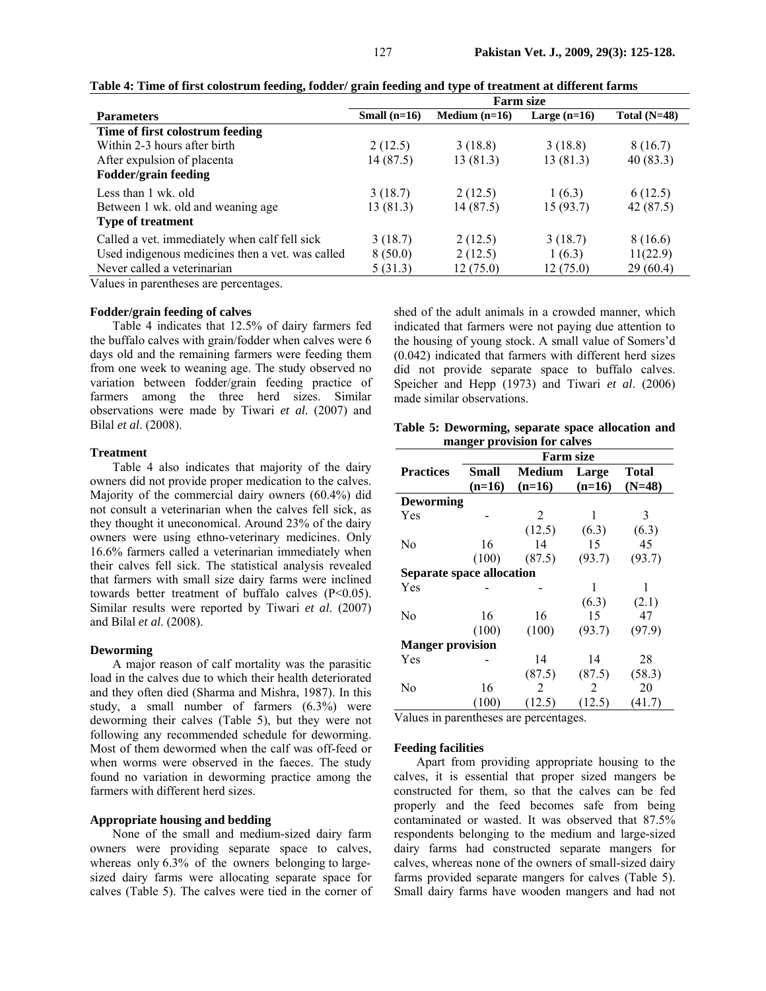|                                                  | <b>Farm size</b> |                 |                |                |
|--------------------------------------------------|------------------|-----------------|----------------|----------------|
| <b>Parameters</b>                                | Small $(n=16)$   | Medium $(n=16)$ | Large $(n=16)$ | Total $(N=48)$ |
| Time of first colostrum feeding                  |                  |                 |                |                |
| Within 2-3 hours after birth                     | 2(12.5)          | 3(18.8)         | 3(18.8)        | 8(16.7)        |
| After expulsion of placenta                      | 14 (87.5)        | 13(81.3)        | 13(81.3)       | 40 (83.3)      |
| <b>Fodder/grain feeding</b>                      |                  |                 |                |                |
| Less than 1 wk. old                              | 3(18.7)          | 2(12.5)         | 1(6.3)         | 6(12.5)        |
| Between 1 wk. old and weaning age                | 13 (81.3)        | 14(87.5)        | 15(93.7)       | 42 (87.5)      |
| <b>Type of treatment</b>                         |                  |                 |                |                |
| Called a vet. immediately when calf fell sick    | 3(18.7)          | 2(12.5)         | 3(18.7)        | 8 (16.6)       |
| Used indigenous medicines then a vet. was called | 8(50.0)          | 2(12.5)         | 1(6.3)         | 11(22.9)       |
| Never called a veterinarian                      | 5(31.3)          | 12(75.0)        | 12(75.0)       | 29(60.4)       |

**Table 4: Time of first colostrum feeding, fodder/ grain feeding and type of treatment at different farms** 

Values in parentheses are percentages.

#### **Fodder/grain feeding of calves**

Table 4 indicates that 12.5% of dairy farmers fed the buffalo calves with grain/fodder when calves were 6 days old and the remaining farmers were feeding them from one week to weaning age. The study observed no variation between fodder/grain feeding practice of farmers among the three herd sizes. Similar observations were made by Tiwari *et al*. (2007) and Bilal *et al*. (2008).

### **Treatment**

Table 4 also indicates that majority of the dairy owners did not provide proper medication to the calves. Majority of the commercial dairy owners (60.4%) did not consult a veterinarian when the calves fell sick, as they thought it uneconomical. Around 23% of the dairy owners were using ethno-veterinary medicines. Only 16.6% farmers called a veterinarian immediately when their calves fell sick. The statistical analysis revealed that farmers with small size dairy farms were inclined towards better treatment of buffalo calves  $(P<0.05)$ . Similar results were reported by Tiwari *et al*. (2007) and Bilal *et al*. (2008).

### **Deworming**

A major reason of calf mortality was the parasitic load in the calves due to which their health deteriorated and they often died (Sharma and Mishra, 1987). In this study, a small number of farmers (6.3%) were deworming their calves (Table 5), but they were not following any recommended schedule for deworming. Most of them dewormed when the calf was off-feed or when worms were observed in the faeces. The study found no variation in deworming practice among the farmers with different herd sizes.

## **Appropriate housing and bedding**

None of the small and medium-sized dairy farm owners were providing separate space to calves, whereas only 6.3% of the owners belonging to largesized dairy farms were allocating separate space for calves (Table 5). The calves were tied in the corner of shed of the adult animals in a crowded manner, which indicated that farmers were not paying due attention to the housing of young stock. A small value of Somers'd (0.042) indicated that farmers with different herd sizes did not provide separate space to buffalo calves. Speicher and Hepp (1973) and Tiwari *et al*. (2006) made similar observations.

**Table 5: Deworming, separate space allocation and manger provision for calves** 

|                                  | <b>Farm size</b> |          |          |          |  |  |
|----------------------------------|------------------|----------|----------|----------|--|--|
| <b>Practices</b>                 | Small            | Medium   | Large    | Total    |  |  |
|                                  | $(n=16)$         | $(n=16)$ | $(n=16)$ | $(N=48)$ |  |  |
| <b>Deworming</b>                 |                  |          |          |          |  |  |
| Yes                              |                  | 2        | 1        | 3        |  |  |
|                                  |                  | (12.5)   | (6.3)    | (6.3)    |  |  |
| No                               | 16               | 14       | 15       | 45       |  |  |
|                                  | (100)            | (87.5)   | (93.7)   | (93.7)   |  |  |
| <b>Separate space allocation</b> |                  |          |          |          |  |  |
| Yes                              |                  |          | 1        | 1        |  |  |
|                                  |                  |          | (6.3)    | (2.1)    |  |  |
| N <sub>0</sub>                   | 16               | 16       | 15       | 47       |  |  |
|                                  | (100)            | (100)    | (93.7)   | (97.9)   |  |  |
| <b>Manger provision</b>          |                  |          |          |          |  |  |
| Yes                              |                  | 14       | 14       | 28       |  |  |
|                                  |                  | (87.5)   | (87.5)   | (58.3)   |  |  |
| No                               | 16               | 2        | 2        | 20       |  |  |
|                                  | (100)            | (12.5)   | (12.5)   | (41.7)   |  |  |

Values in parentheses are percentages.

### **Feeding facilities**

Apart from providing appropriate housing to the calves, it is essential that proper sized mangers be constructed for them, so that the calves can be fed properly and the feed becomes safe from being contaminated or wasted. It was observed that 87.5% respondents belonging to the medium and large-sized dairy farms had constructed separate mangers for calves, whereas none of the owners of small-sized dairy farms provided separate mangers for calves (Table 5). Small dairy farms have wooden mangers and had not